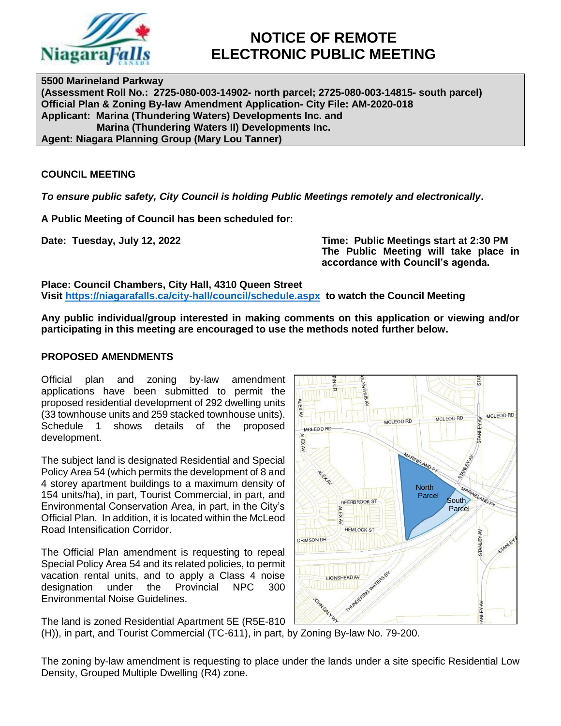

# **NOTICE OF REMOTE ELECTRONIC PUBLIC MEETING**

**5500 Marineland Parkway (Assessment Roll No.: 2725-080-003-14902- north parcel; 2725-080-003-14815- south parcel) Official Plan & Zoning By-law Amendment Application- City File: AM-2020-018 Applicant: Marina (Thundering Waters) Developments Inc. and Marina (Thundering Waters II) Developments Inc. Agent: Niagara Planning Group (Mary Lou Tanner)**

# **COUNCIL MEETING**

*To ensure public safety, City Council is holding Public Meetings remotely and electronically***.**

**A Public Meeting of Council has been scheduled for:**

**Date: Tuesday, July 12, 2022 Time: Public Meetings start at 2:30 PM The Public Meeting will take place in accordance with Council's agenda.**

**Place: Council Chambers, City Hall, 4310 Queen Street Visit<https://niagarafalls.ca/city-hall/council/schedule.aspx> to watch the Council Meeting** 

**Any public individual/group interested in making comments on this application or viewing and/or participating in this meeting are encouraged to use the methods noted further below.**

# **PROPOSED AMENDMENTS**

Official plan and zoning by-law amendment applications have been submitted to permit the proposed residential development of 292 dwelling units (33 townhouse units and 259 stacked townhouse units). Schedule 1 shows details of the proposed development.

The subject land is designated Residential and Special Policy Area 54 (which permits the development of 8 and 4 storey apartment buildings to a maximum density of 154 units/ha), in part, Tourist Commercial, in part, and Environmental Conservation Area, in part, in the City's Official Plan. In addition, it is located within the McLeod Road Intensification Corridor.

The Official Plan amendment is requesting to repeal Special Policy Area 54 and its related policies, to permit vacation rental units, and to apply a Class 4 noise designation under the Provincial NPC 300 Environmental Noise Guidelines.





The zoning by-law amendment is requesting to place under the lands under a site specific Residential Low Density, Grouped Multiple Dwelling (R4) zone.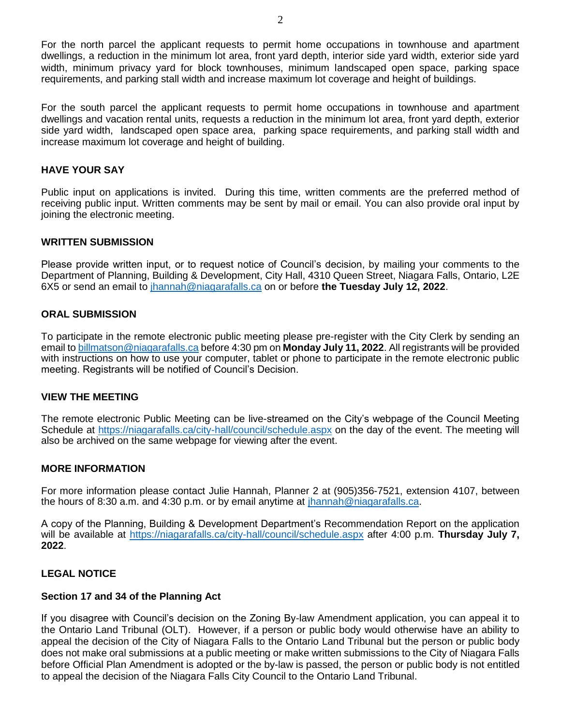For the north parcel the applicant requests to permit home occupations in townhouse and apartment dwellings, a reduction in the minimum lot area, front yard depth, interior side yard width, exterior side yard width, minimum privacy yard for block townhouses, minimum landscaped open space, parking space requirements, and parking stall width and increase maximum lot coverage and height of buildings.

For the south parcel the applicant requests to permit home occupations in townhouse and apartment dwellings and vacation rental units, requests a reduction in the minimum lot area, front yard depth, exterior side yard width, landscaped open space area, parking space requirements, and parking stall width and increase maximum lot coverage and height of building.

# **HAVE YOUR SAY**

Public input on applications is invited. During this time, written comments are the preferred method of receiving public input. Written comments may be sent by mail or email. You can also provide oral input by joining the electronic meeting.

# **WRITTEN SUBMISSION**

Please provide written input, or to request notice of Council's decision, by mailing your comments to the Department of Planning, Building & Development, City Hall, 4310 Queen Street, Niagara Falls, Ontario, L2E 6X5 or send an email to [jhannah@niagarafalls.ca](mailto:jhannah@niagarafalls.ca) on or before **the Tuesday July 12, 2022**.

### **ORAL SUBMISSION**

To participate in the remote electronic public meeting please pre-register with the City Clerk by sending an email to [billmatson@niagarafalls.ca](mailto:billmatson@niagarafalls.ca) before 4:30 pm on **Monday July 11, 2022**. All registrants will be provided with instructions on how to use your computer, tablet or phone to participate in the remote electronic public meeting. Registrants will be notified of Council's Decision.

### **VIEW THE MEETING**

The remote electronic Public Meeting can be live-streamed on the City's webpage of the Council Meeting Schedule at<https://niagarafalls.ca/city-hall/council/schedule.aspx> on the day of the event. The meeting will also be archived on the same webpage for viewing after the event.

# **MORE INFORMATION**

For more information please contact Julie Hannah, Planner 2 at (905)356-7521, extension 4107, between the hours of 8:30 a.m. and 4:30 p.m. or by email anytime at [jhannah@niagarafalls.ca.](mailto:jhannah@niagarafalls.ca)

A copy of the Planning, Building & Development Department's Recommendation Report on the application will be available at<https://niagarafalls.ca/city-hall/council/schedule.aspx> after 4:00 p.m. **Thursday July 7, 2022**.

### **LEGAL NOTICE**

### **Section 17 and 34 of the Planning Act**

If you disagree with Council's decision on the Zoning By-law Amendment application, you can appeal it to the Ontario Land Tribunal (OLT). However, if a person or public body would otherwise have an ability to appeal the decision of the City of Niagara Falls to the Ontario Land Tribunal but the person or public body does not make oral submissions at a public meeting or make written submissions to the City of Niagara Falls before Official Plan Amendment is adopted or the by-law is passed, the person or public body is not entitled to appeal the decision of the Niagara Falls City Council to the Ontario Land Tribunal.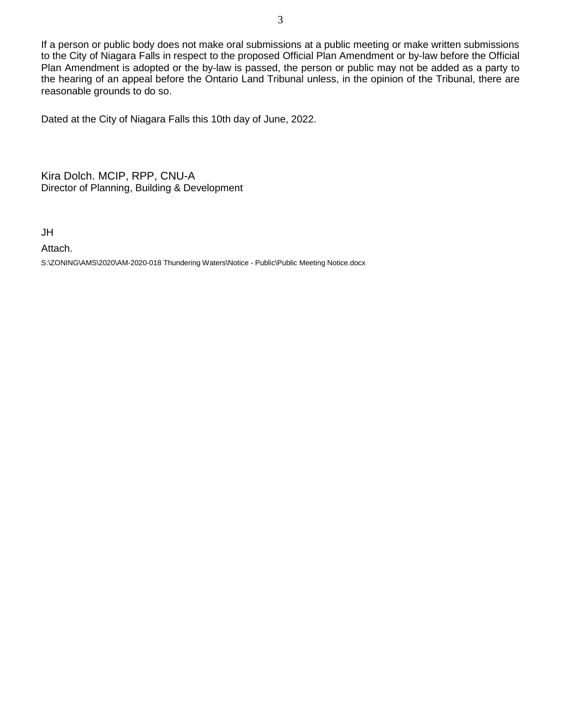If a person or public body does not make oral submissions at a public meeting or make written submissions to the City of Niagara Falls in respect to the proposed Official Plan Amendment or by-law before the Official Plan Amendment is adopted or the by-law is passed, the person or public may not be added as a party to the hearing of an appeal before the Ontario Land Tribunal unless, in the opinion of the Tribunal, there are reasonable grounds to do so.

Dated at the City of Niagara Falls this 10th day of June, 2022.

Kira Dolch. MCIP, RPP, CNU-A Director of Planning, Building & Development

JH

Attach.

S:\ZONING\AMS\2020\AM-2020-018 Thundering Waters\Notice - Public\Public Meeting Notice.docx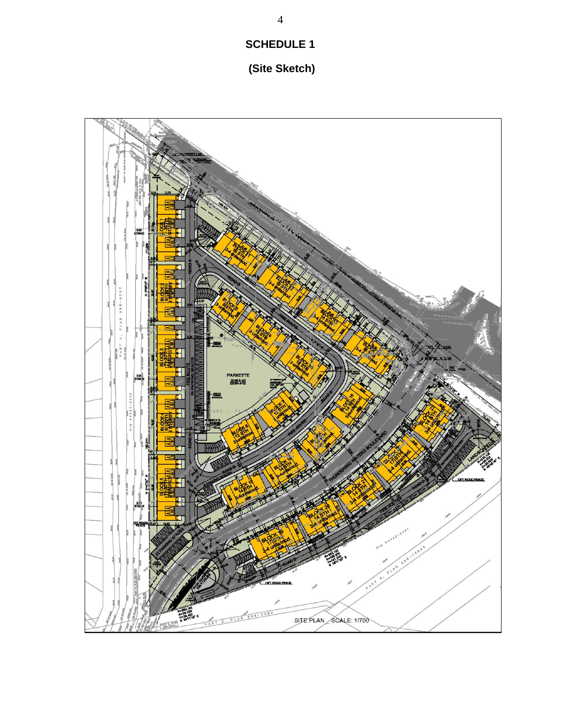# **SCHEDULE 1**

# **(Site Sketch)**